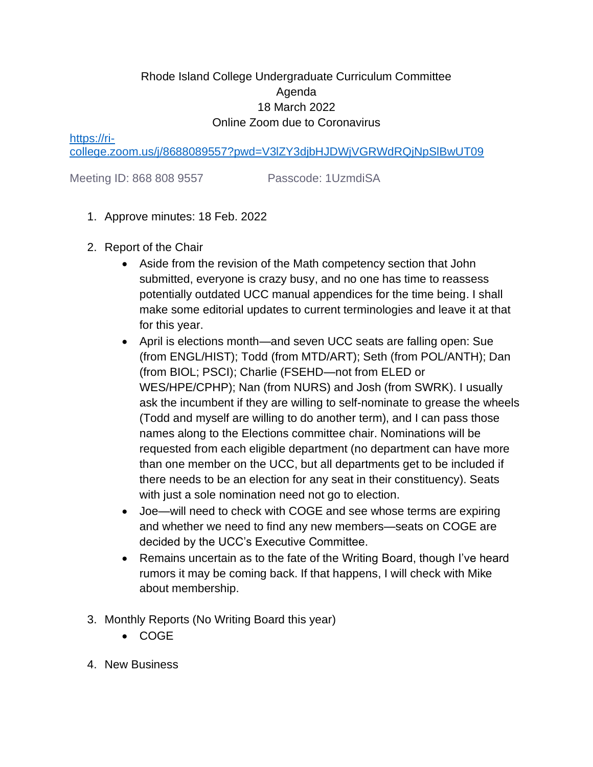## Rhode Island College Undergraduate Curriculum Committee Agenda 18 March 2022 Online Zoom due to Coronavirus

[https://ri-](https://ri-college.zoom.us/j/8688089557?pwd=V3lZY3djbHJDWjVGRWdRQjNpSlBwUT09)

[college.zoom.us/j/8688089557?pwd=V3lZY3djbHJDWjVGRWdRQjNpSlBwUT09](https://ri-college.zoom.us/j/8688089557?pwd=V3lZY3djbHJDWjVGRWdRQjNpSlBwUT09)

Meeting ID: 868 808 9557 Passcode: 1UzmdiSA

- 1. Approve minutes: 18 Feb. 2022
- 2. Report of the Chair
	- Aside from the revision of the Math competency section that John submitted, everyone is crazy busy, and no one has time to reassess potentially outdated UCC manual appendices for the time being. I shall make some editorial updates to current terminologies and leave it at that for this year.
	- April is elections month—and seven UCC seats are falling open: Sue (from ENGL/HIST); Todd (from MTD/ART); Seth (from POL/ANTH); Dan (from BIOL; PSCI); Charlie (FSEHD—not from ELED or WES/HPE/CPHP); Nan (from NURS) and Josh (from SWRK). I usually ask the incumbent if they are willing to self-nominate to grease the wheels (Todd and myself are willing to do another term), and I can pass those names along to the Elections committee chair. Nominations will be requested from each eligible department (no department can have more than one member on the UCC, but all departments get to be included if there needs to be an election for any seat in their constituency). Seats with just a sole nomination need not go to election.
	- Joe—will need to check with COGE and see whose terms are expiring and whether we need to find any new members—seats on COGE are decided by the UCC's Executive Committee.
	- Remains uncertain as to the fate of the Writing Board, though I've heard rumors it may be coming back. If that happens, I will check with Mike about membership.
- 3. Monthly Reports (No Writing Board this year)
	- COGE
- 4. New Business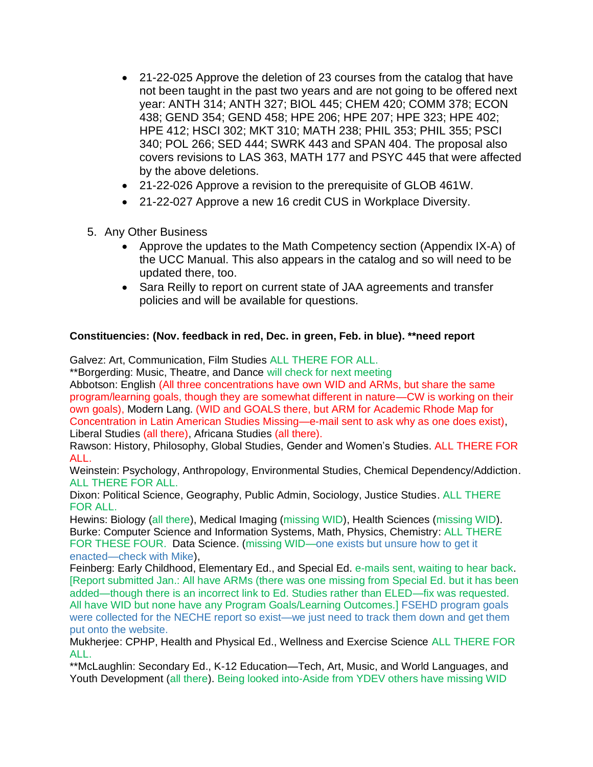- 21-22-025 Approve the deletion of 23 courses from the catalog that have not been taught in the past two years and are not going to be offered next year: ANTH 314; ANTH 327; BIOL 445; CHEM 420; COMM 378; ECON 438; GEND 354; GEND 458; HPE 206; HPE 207; HPE 323; HPE 402; HPE 412; HSCI 302; MKT 310; MATH 238; PHIL 353; PHIL 355; PSCI 340; POL 266; SED 444; SWRK 443 and SPAN 404. The proposal also covers revisions to LAS 363, MATH 177 and PSYC 445 that were affected by the above deletions.
- 21-22-026 Approve a revision to the prerequisite of GLOB 461W.
- 21-22-027 Approve a new 16 credit CUS in Workplace Diversity.
- 5. Any Other Business
	- Approve the updates to the Math Competency section (Appendix IX-A) of the UCC Manual. This also appears in the catalog and so will need to be updated there, too.
	- Sara Reilly to report on current state of JAA agreements and transfer policies and will be available for questions.

## **Constituencies: (Nov. feedback in red, Dec. in green, Feb. in blue). \*\*need report**

Galvez: Art, Communication, Film Studies ALL THERE FOR ALL.

\*\*Borgerding: Music, Theatre, and Dance will check for next meeting

Abbotson: English (All three concentrations have own WID and ARMs, but share the same program/learning goals, though they are somewhat different in nature—CW is working on their own goals), Modern Lang. (WID and GOALS there, but ARM for Academic Rhode Map for Concentration in Latin American Studies Missing—e-mail sent to ask why as one does exist), Liberal Studies (all there), Africana Studies (all there).

Rawson: History, Philosophy, Global Studies, Gender and Women's Studies. ALL THERE FOR ALL.

Weinstein: Psychology, Anthropology, Environmental Studies, Chemical Dependency/Addiction. ALL THERE FOR ALL.

Dixon: Political Science, Geography, Public Admin, Sociology, Justice Studies. ALL THERE FOR ALL.

Hewins: Biology (all there), Medical Imaging (missing WID), Health Sciences (missing WID). Burke: Computer Science and Information Systems, Math, Physics, Chemistry: ALL THERE FOR THESE FOUR. Data Science. (missing WID—one exists but unsure how to get it enacted—check with Mike),

Feinberg: Early Childhood, Elementary Ed., and Special Ed. e-mails sent, waiting to hear back. [Report submitted Jan.: All have ARMs (there was one missing from Special Ed. but it has been added—though there is an incorrect link to Ed. Studies rather than ELED—fix was requested. All have WID but none have any Program Goals/Learning Outcomes.] FSEHD program goals were collected for the NECHE report so exist—we just need to track them down and get them put onto the website.

Mukherjee: CPHP, Health and Physical Ed., Wellness and Exercise Science ALL THERE FOR ALL.

\*\*McLaughlin: Secondary Ed., K-12 Education—Tech, Art, Music, and World Languages, and Youth Development (all there). Being looked into-Aside from YDEV others have missing WID